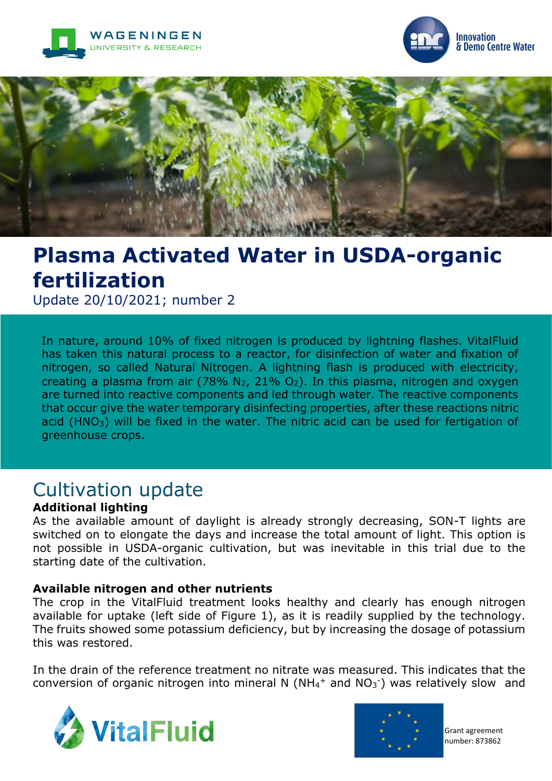





# **Plasma Activated Water in USDA-organic fertilization**

Update 20/10/2021; number 2

In nature, around 10% of fixed nitrogen is produced by lightning flashes. VitalFluid has taken this natural process to a reactor, for disinfection of water and fixation of nitrogen, so called Natural Nitrogen. A lightning flash is produced with electricity, creating a plasma from air (78%  $N_2$ , 21%  $O_2$ ). In this plasma, nitrogen and oxygen are turned into reactive components and led through water. The reactive components that occur give the water temporary disinfecting properties, after these reactions nitric acid (HNO<sub>3</sub>) will be fixed in the water. The nitric acid can be used for fertigation of greenhouse crops.

## Cultivation update

#### **Additional lighting**

As the available amount of daylight is already strongly decreasing, SON-T lights are switched on to elongate the days and increase the total amount of light. This option is not possible in USDA-organic cultivation, but was inevitable in this trial due to the starting date of the cultivation.

#### **Available nitrogen and other nutrients**

The crop in the VitalFluid treatment looks healthy and clearly has enough nitrogen available for uptake (left side of Figure 1), as it is readily supplied by the technology. The fruits showed some potassium deficiency, but by increasing the dosage of potassium this was restored.

In the drain of the reference treatment no nitrate was measured. This indicates that the conversion of organic nitrogen into mineral N ( $NH<sub>4</sub>$ + and NO<sub>3</sub><sup>-</sup>) was relatively slow and





Grant agreement number: 873862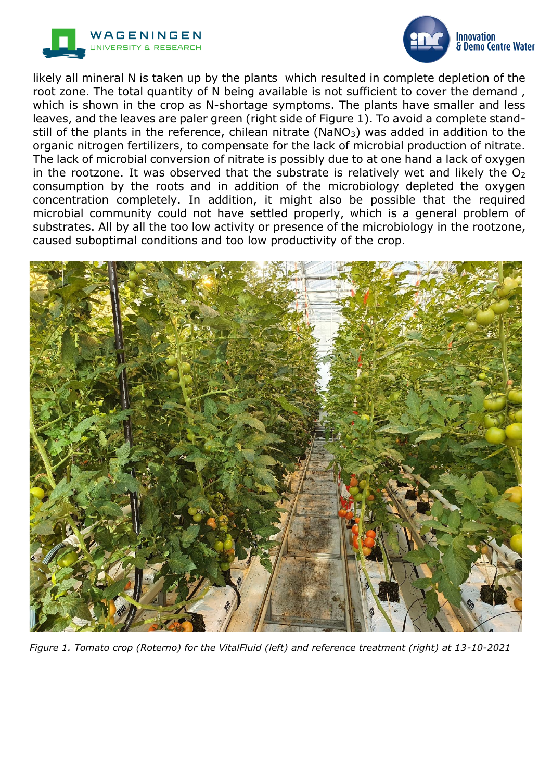



likely all mineral N is taken up by the plants which resulted in complete depletion of the root zone. The total quantity of N being available is not sufficient to cover the demand , which is shown in the crop as N-shortage symptoms. The plants have smaller and less leaves, and the leaves are paler green (right side of Figure 1). To avoid a complete standstill of the plants in the reference, chilean nitrate (NaNO<sub>3</sub>) was added in addition to the organic nitrogen fertilizers, to compensate for the lack of microbial production of nitrate. The lack of microbial conversion of nitrate is possibly due to at one hand a lack of oxygen in the rootzone. It was observed that the substrate is relatively wet and likely the  $O<sub>2</sub>$ consumption by the roots and in addition of the microbiology depleted the oxygen concentration completely. In addition, it might also be possible that the required microbial community could not have settled properly, which is a general problem of substrates. All by all the too low activity or presence of the microbiology in the rootzone, caused suboptimal conditions and too low productivity of the crop.



*Figure 1. Tomato crop (Roterno) for the VitalFluid (left) and reference treatment (right) at 13-10-2021*